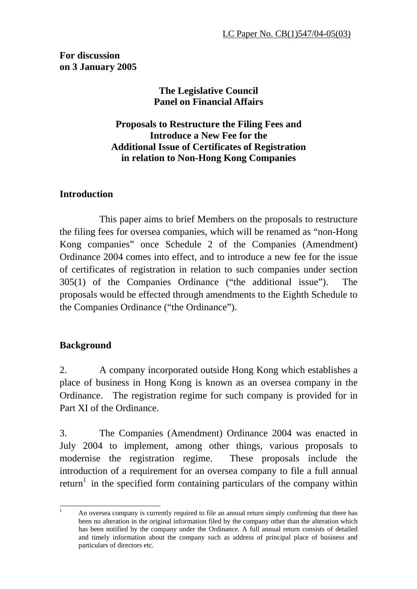**For discussion on 3 January 2005** 

# **The Legislative Council Panel on Financial Affairs**

**Proposals to Restructure the Filing Fees and Introduce a New Fee for the Additional Issue of Certificates of Registration in relation to Non-Hong Kong Companies** 

## **Introduction**

 This paper aims to brief Members on the proposals to restructure the filing fees for oversea companies, which will be renamed as "non-Hong Kong companies" once Schedule 2 of the Companies (Amendment) Ordinance 2004 comes into effect, and to introduce a new fee for the issue of certificates of registration in relation to such companies under section 305(1) of the Companies Ordinance ("the additional issue"). The proposals would be effected through amendments to the Eighth Schedule to the Companies Ordinance ("the Ordinance").

# **Background**

2. A company incorporated outside Hong Kong which establishes a place of business in Hong Kong is known as an oversea company in the Ordinance. The registration regime for such company is provided for in Part XI of the Ordinance.

3. The Companies (Amendment) Ordinance 2004 was enacted in July 2004 to implement, among other things, various proposals to modernise the registration regime. These proposals include the introduction of a requirement for an oversea company to file a full annual return<sup>1</sup> in the specified form containing particulars of the company within

 $\frac{1}{1}$  An oversea company is currently required to file an annual return simply confirming that there has been no alteration in the original information filed by the company other than the alteration which has been notified by the company under the Ordinance. A full annual return consists of detailed and timely information about the company such as address of principal place of business and particulars of directors etc.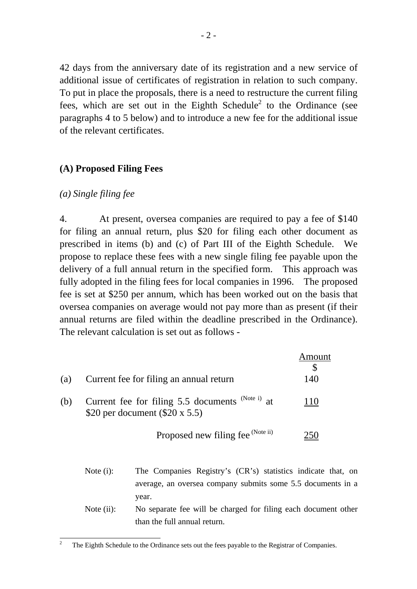42 days from the anniversary date of its registration and a new service of additional issue of certificates of registration in relation to such company. To put in place the proposals, there is a need to restructure the current filing fees, which are set out in the Eighth Schedule<sup>2</sup> to the Ordinance (see paragraphs 4 to 5 below) and to introduce a new fee for the additional issue of the relevant certificates.

#### **(A) Proposed Filing Fees**

#### *(a) Single filing fee*

4. At present, oversea companies are required to pay a fee of \$140 for filing an annual return, plus \$20 for filing each other document as prescribed in items (b) and (c) of Part III of the Eighth Schedule. We propose to replace these fees with a new single filing fee payable upon the delivery of a full annual return in the specified form. This approach was fully adopted in the filing fees for local companies in 1996. The proposed fee is set at \$250 per annum, which has been worked out on the basis that oversea companies on average would not pay more than as present (if their annual returns are filed within the deadline prescribed in the Ordinance). The relevant calculation is set out as follows -

|     |                                                                                                | Amount |
|-----|------------------------------------------------------------------------------------------------|--------|
| (a) | Current fee for filing an annual return                                                        | 140    |
| (b) | (Note i) $at$<br>Current fee for filing 5.5 documents<br>\$20 per document $(\$20 \times 5.5)$ | -10    |
|     | Proposed new filing fee (Note ii)                                                              |        |

- Note (i): The Companies Registry's (CR's) statistics indicate that, on average, an oversea company submits some 5.5 documents in a year.
- Note (ii): No separate fee will be charged for filing each document other than the full annual return.

<sup>&</sup>lt;sup>2</sup> The Eighth Schedule to the Ordinance sets out the fees payable to the Registrar of Companies.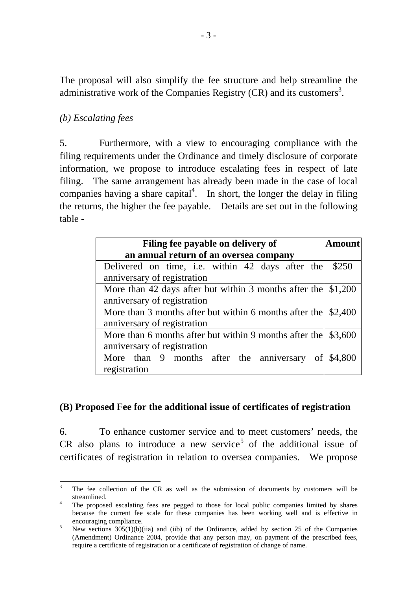The proposal will also simplify the fee structure and help streamline the administrative work of the Companies Registry  $(CR)$  and its customers<sup>3</sup>.

## *(b) Escalating fees*

5. Furthermore, with a view to encouraging compliance with the filing requirements under the Ordinance and timely disclosure of corporate information, we propose to introduce escalating fees in respect of late filing. The same arrangement has already been made in the case of local companies having a share capital<sup>4</sup>. In short, the longer the delay in filing the returns, the higher the fee payable. Details are set out in the following table -

| Filing fee payable on delivery of                                     | Amount  |  |
|-----------------------------------------------------------------------|---------|--|
| an annual return of an oversea company                                |         |  |
| Delivered on time, i.e. within 42 days after the                      | \$250   |  |
| anniversary of registration                                           |         |  |
| More than 42 days after but within 3 months after the $ 1,200\rangle$ |         |  |
| anniversary of registration                                           |         |  |
| More than 3 months after but within 6 months after the                | \$2,400 |  |
| anniversary of registration                                           |         |  |
| More than 6 months after but within 9 months after the                | \$3,600 |  |
| anniversary of registration                                           |         |  |
| More than 9 months after the anniversary<br>of                        | \$4,800 |  |
| registration                                                          |         |  |

## **(B) Proposed Fee for the additional issue of certificates of registration**

6. To enhance customer service and to meet customers' needs, the CR also plans to introduce a new service<sup>5</sup> of the additional issue of certificates of registration in relation to oversea companies. We propose

 3 The fee collection of the CR as well as the submission of documents by customers will be streamlined.

The proposed escalating fees are pegged to those for local public companies limited by shares because the current fee scale for these companies has been working well and is effective in encouraging compliance.

New sections 305(1)(b)(iia) and (iib) of the Ordinance, added by section 25 of the Companies (Amendment) Ordinance 2004, provide that any person may, on payment of the prescribed fees, require a certificate of registration or a certificate of registration of change of name.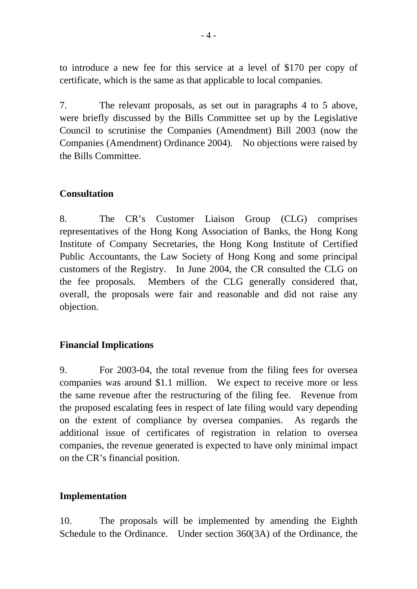to introduce a new fee for this service at a level of \$170 per copy of certificate, which is the same as that applicable to local companies.

7. The relevant proposals, as set out in paragraphs 4 to 5 above, were briefly discussed by the Bills Committee set up by the Legislative Council to scrutinise the Companies (Amendment) Bill 2003 (now the Companies (Amendment) Ordinance 2004). No objections were raised by the Bills Committee.

#### **Consultation**

8. The CR's Customer Liaison Group (CLG) comprises representatives of the Hong Kong Association of Banks, the Hong Kong Institute of Company Secretaries, the Hong Kong Institute of Certified Public Accountants, the Law Society of Hong Kong and some principal customers of the Registry. In June 2004, the CR consulted the CLG on the fee proposals. Members of the CLG generally considered that, overall, the proposals were fair and reasonable and did not raise any objection.

## **Financial Implications**

9. For 2003-04, the total revenue from the filing fees for oversea companies was around \$1.1 million. We expect to receive more or less the same revenue after the restructuring of the filing fee. Revenue from the proposed escalating fees in respect of late filing would vary depending on the extent of compliance by oversea companies. As regards the additional issue of certificates of registration in relation to oversea companies, the revenue generated is expected to have only minimal impact on the CR's financial position.

## **Implementation**

10. The proposals will be implemented by amending the Eighth Schedule to the Ordinance. Under section 360(3A) of the Ordinance, the